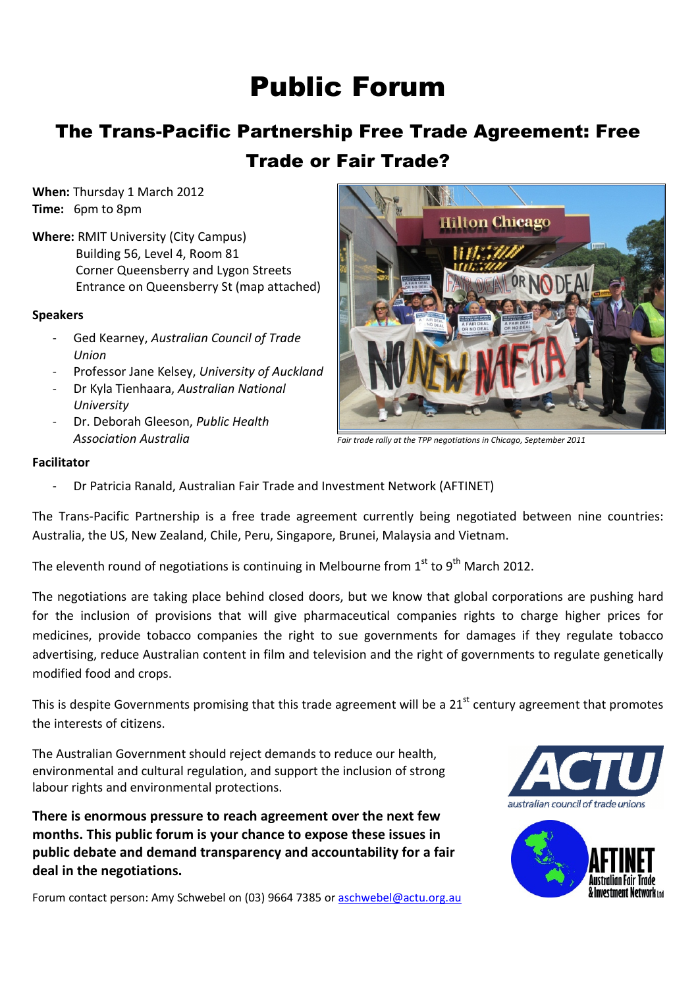## Public Forum

## The Trans-Pacific Partnership Free Trade Agreement: Free Trade or Fair Trade?

When: Thursday 1 March 2012 Time: 6pm to 8pm

Where: RMIT University (City Campus) Building 56, Level 4, Room 81 Corner Queensberry and Lygon Streets Entrance on Queensberry St (map attached)

#### Speakers

- Ged Kearney, Australian Council of Trade Union
- Professor Jane Kelsey, University of Auckland
- Dr Kyla Tienhaara, Australian National University
- Dr. Deborah Gleeson, Public Health Association Australia



Fair trade rally at the TPP negotiations in Chicago, September 2011

#### Facilitator

- Dr Patricia Ranald, Australian Fair Trade and Investment Network (AFTINET)

The Trans-Pacific Partnership is a free trade agreement currently being negotiated between nine countries: Australia, the US, New Zealand, Chile, Peru, Singapore, Brunei, Malaysia and Vietnam.

The eleventh round of negotiations is continuing in Melbourne from  $1<sup>st</sup>$  to 9<sup>th</sup> March 2012.

The negotiations are taking place behind closed doors, but we know that global corporations are pushing hard for the inclusion of provisions that will give pharmaceutical companies rights to charge higher prices for medicines, provide tobacco companies the right to sue governments for damages if they regulate tobacco advertising, reduce Australian content in film and television and the right of governments to regulate genetically modified food and crops.

This is despite Governments promising that this trade agreement will be a 21<sup>st</sup> century agreement that promotes the interests of citizens.

The Australian Government should reject demands to reduce our health, environmental and cultural regulation, and support the inclusion of strong labour rights and environmental protections.

There is enormous pressure to reach agreement over the next few months. This public forum is your chance to expose these issues in public debate and demand transparency and accountability for a fair deal in the negotiations.

Forum contact person: Amy Schwebel on (03) 9664 7385 or aschwebel@actu.org.au